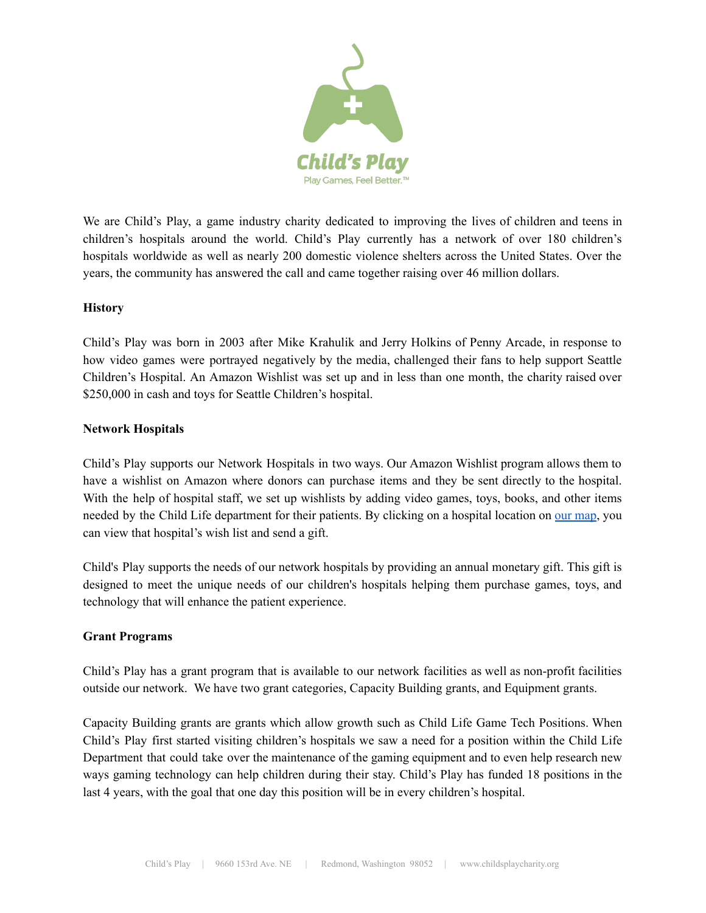

We are Child's Play, a game industry charity dedicated to improving the lives of children and teens in children's hospitals around the world. Child's Play currently has a network of over 180 children's hospitals worldwide as well as nearly 200 domestic violence shelters across the United States. Over the years, the community has answered the call and came together raising over 46 million dollars.

## **History**

Child's Play was born in 2003 after Mike Krahulik and Jerry Holkins of Penny Arcade, in response to how video games were portrayed negatively by the media, challenged their fans to help support Seattle Children's Hospital. An Amazon Wishlist was set up and in less than one month, the charity raised over \$250,000 in cash and toys for Seattle Children's hospital.

## **Network Hospitals**

Child's Play supports our Network Hospitals in two ways. Our Amazon Wishlist program allows them to have a wishlist on Amazon where donors can purchase items and they be sent directly to the hospital. With the help of hospital staff, we set up wishlists by adding video games, toys, books, and other items needed by the Child Life department for their patients. By clicking on a hospital location on our [map,](http://childsplaycharity.org/donate#wishlist-map) you can view that hospital's wish list and send a gift.

Child's Play supports the needs of our network hospitals by providing an annual monetary gift. This gift is designed to meet the unique needs of our children's hospitals helping them purchase games, toys, and technology that will enhance the patient experience.

#### **Grant Programs**

Child's Play has a grant program that is available to our network facilities as well as non-profit facilities outside our network. We have two grant categories, Capacity Building grants, and Equipment grants.

Capacity Building grants are grants which allow growth such as Child Life Game Tech Positions. When Child's Play first started visiting children's hospitals we saw a need for a position within the Child Life Department that could take over the maintenance of the gaming equipment and to even help research new ways gaming technology can help children during their stay. Child's Play has funded 18 positions in the last 4 years, with the goal that one day this position will be in every children's hospital.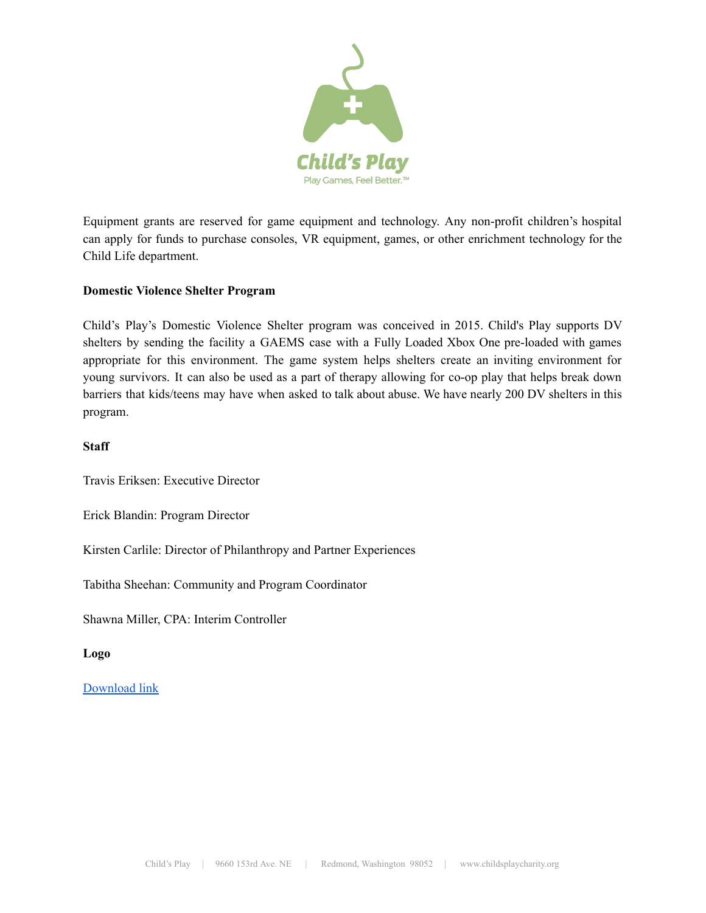

Equipment grants are reserved for game equipment and technology. Any non-profit children's hospital can apply for funds to purchase consoles, VR equipment, games, or other enrichment technology for the Child Life department.

#### **Domestic Violence Shelter Program**

Child's Play's Domestic Violence Shelter program was conceived in 2015. Child's Play supports DV shelters by sending the facility a GAEMS case with a Fully Loaded Xbox One pre-loaded with games appropriate for this environment. The game system helps shelters create an inviting environment for young survivors. It can also be used as a part of therapy allowing for co-op play that helps break down barriers that kids/teens may have when asked to talk about abuse. We have nearly 200 DV shelters in this program.

#### **Staff**

Travis Eriksen: Executive Director

Erick Blandin: Program Director

Kirsten Carlile: Director of Philanthropy and Partner Experiences

Tabitha Sheehan: Community and Program Coordinator

Shawna Miller, CPA: Interim Controller

**Logo**

# [Download](http://assets.childsplaycharity.org/img/cp_pgfb_tag%20-%20center%20color%20bigger.png) link